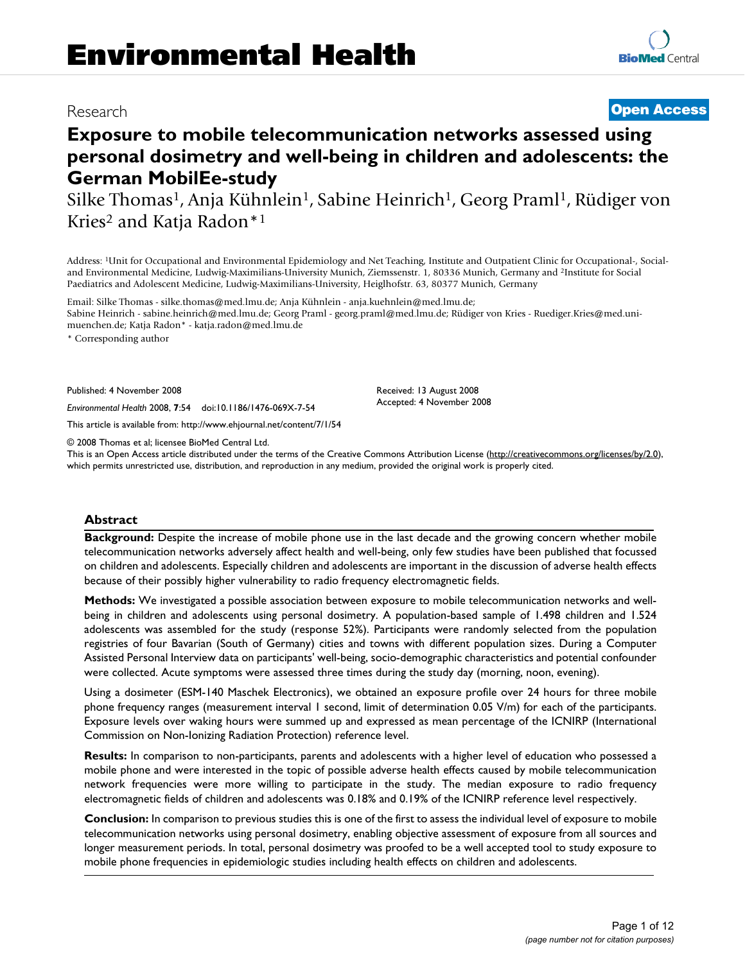# Research **[Open Access](http://www.biomedcentral.com/info/about/charter/)**

# **Exposure to mobile telecommunication networks assessed using personal dosimetry and well-being in children and adolescents: the German MobilEe-study**

Silke Thomas<sup>1</sup>, Anja Kühnlein<sup>1</sup>, Sabine Heinrich<sup>1</sup>, Georg Praml<sup>1</sup>, Rüdiger von Kries2 and Katja Radon\*1

Address: 1Unit for Occupational and Environmental Epidemiology and Net Teaching, Institute and Outpatient Clinic for Occupational-, Socialand Environmental Medicine, Ludwig-Maximilians-University Munich, Ziemssenstr. 1, 80336 Munich, Germany and 2Institute for Social Paediatrics and Adolescent Medicine, Ludwig-Maximilians-University, Heiglhofstr. 63, 80377 Munich, Germany

Email: Silke Thomas - silke.thomas@med.lmu.de; Anja Kühnlein - anja.kuehnlein@med.lmu.de; Sabine Heinrich - sabine.heinrich@med.lmu.de; Georg Praml - georg.praml@med.lmu.de; Rüdiger von Kries - Ruediger.Kries@med.unimuenchen.de; Katja Radon\* - katja.radon@med.lmu.de

\* Corresponding author

Published: 4 November 2008

*Environmental Health* 2008, **7**:54 doi:10.1186/1476-069X-7-54

[This article is available from: http://www.ehjournal.net/content/7/1/54](http://www.ehjournal.net/content/7/1/54)

© 2008 Thomas et al; licensee BioMed Central Ltd.

This is an Open Access article distributed under the terms of the Creative Commons Attribution License [\(http://creativecommons.org/licenses/by/2.0\)](http://creativecommons.org/licenses/by/2.0), which permits unrestricted use, distribution, and reproduction in any medium, provided the original work is properly cited.

Received: 13 August 2008 Accepted: 4 November 2008

# **Abstract**

**Background:** Despite the increase of mobile phone use in the last decade and the growing concern whether mobile telecommunication networks adversely affect health and well-being, only few studies have been published that focussed on children and adolescents. Especially children and adolescents are important in the discussion of adverse health effects because of their possibly higher vulnerability to radio frequency electromagnetic fields.

**Methods:** We investigated a possible association between exposure to mobile telecommunication networks and wellbeing in children and adolescents using personal dosimetry. A population-based sample of 1.498 children and 1.524 adolescents was assembled for the study (response 52%). Participants were randomly selected from the population registries of four Bavarian (South of Germany) cities and towns with different population sizes. During a Computer Assisted Personal Interview data on participants' well-being, socio-demographic characteristics and potential confounder were collected. Acute symptoms were assessed three times during the study day (morning, noon, evening).

Using a dosimeter (ESM-140 Maschek Electronics), we obtained an exposure profile over 24 hours for three mobile phone frequency ranges (measurement interval 1 second, limit of determination 0.05 V/m) for each of the participants. Exposure levels over waking hours were summed up and expressed as mean percentage of the ICNIRP (International Commission on Non-Ionizing Radiation Protection) reference level.

**Results:** In comparison to non-participants, parents and adolescents with a higher level of education who possessed a mobile phone and were interested in the topic of possible adverse health effects caused by mobile telecommunication network frequencies were more willing to participate in the study. The median exposure to radio frequency electromagnetic fields of children and adolescents was 0.18% and 0.19% of the ICNIRP reference level respectively.

**Conclusion:** In comparison to previous studies this is one of the first to assess the individual level of exposure to mobile telecommunication networks using personal dosimetry, enabling objective assessment of exposure from all sources and longer measurement periods. In total, personal dosimetry was proofed to be a well accepted tool to study exposure to mobile phone frequencies in epidemiologic studies including health effects on children and adolescents.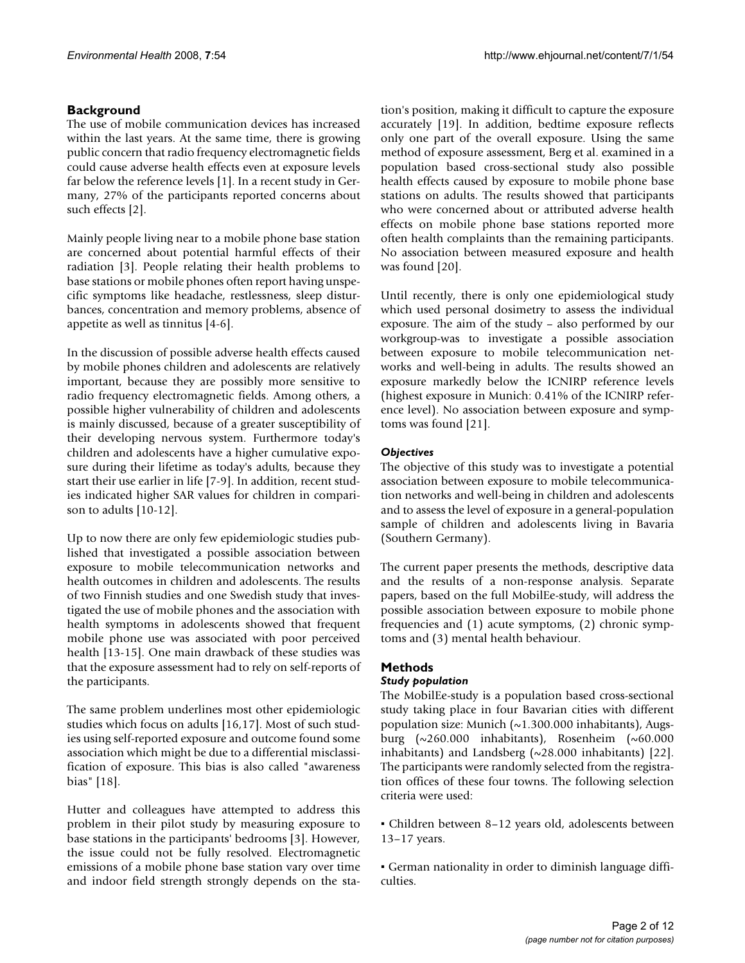# **Background**

The use of mobile communication devices has increased within the last years. At the same time, there is growing public concern that radio frequency electromagnetic fields could cause adverse health effects even at exposure levels far below the reference levels [1]. In a recent study in Germany, 27% of the participants reported concerns about such effects [2].

Mainly people living near to a mobile phone base station are concerned about potential harmful effects of their radiation [3]. People relating their health problems to base stations or mobile phones often report having unspecific symptoms like headache, restlessness, sleep disturbances, concentration and memory problems, absence of appetite as well as tinnitus [4-6].

In the discussion of possible adverse health effects caused by mobile phones children and adolescents are relatively important, because they are possibly more sensitive to radio frequency electromagnetic fields. Among others, a possible higher vulnerability of children and adolescents is mainly discussed, because of a greater susceptibility of their developing nervous system. Furthermore today's children and adolescents have a higher cumulative exposure during their lifetime as today's adults, because they start their use earlier in life [7-9]. In addition, recent studies indicated higher SAR values for children in comparison to adults [10-12].

Up to now there are only few epidemiologic studies published that investigated a possible association between exposure to mobile telecommunication networks and health outcomes in children and adolescents. The results of two Finnish studies and one Swedish study that investigated the use of mobile phones and the association with health symptoms in adolescents showed that frequent mobile phone use was associated with poor perceived health [13-15]. One main drawback of these studies was that the exposure assessment had to rely on self-reports of the participants.

The same problem underlines most other epidemiologic studies which focus on adults [16,17]. Most of such studies using self-reported exposure and outcome found some association which might be due to a differential misclassification of exposure. This bias is also called "awareness bias" [18].

Hutter and colleagues have attempted to address this problem in their pilot study by measuring exposure to base stations in the participants' bedrooms [3]. However, the issue could not be fully resolved. Electromagnetic emissions of a mobile phone base station vary over time and indoor field strength strongly depends on the station's position, making it difficult to capture the exposure accurately [19]. In addition, bedtime exposure reflects only one part of the overall exposure. Using the same method of exposure assessment, Berg et al. examined in a population based cross-sectional study also possible health effects caused by exposure to mobile phone base stations on adults. The results showed that participants who were concerned about or attributed adverse health effects on mobile phone base stations reported more often health complaints than the remaining participants. No association between measured exposure and health was found [20].

Until recently, there is only one epidemiological study which used personal dosimetry to assess the individual exposure. The aim of the study – also performed by our workgroup-was to investigate a possible association between exposure to mobile telecommunication networks and well-being in adults. The results showed an exposure markedly below the ICNIRP reference levels (highest exposure in Munich: 0.41% of the ICNIRP reference level). No association between exposure and symptoms was found [21].

# *Objectives*

The objective of this study was to investigate a potential association between exposure to mobile telecommunication networks and well-being in children and adolescents and to assess the level of exposure in a general-population sample of children and adolescents living in Bavaria (Southern Germany).

The current paper presents the methods, descriptive data and the results of a non-response analysis. Separate papers, based on the full MobilEe-study, will address the possible association between exposure to mobile phone frequencies and (1) acute symptoms, (2) chronic symptoms and (3) mental health behaviour.

# **Methods**

# *Study population*

The MobilEe-study is a population based cross-sectional study taking place in four Bavarian cities with different population size: Munich (~1.300.000 inhabitants), Augsburg (~260.000 inhabitants), Rosenheim (~60.000 inhabitants) and Landsberg (~28.000 inhabitants) [22]. The participants were randomly selected from the registration offices of these four towns. The following selection criteria were used:

▪ Children between 8–12 years old, adolescents between 13–17 years.

▪ German nationality in order to diminish language difficulties.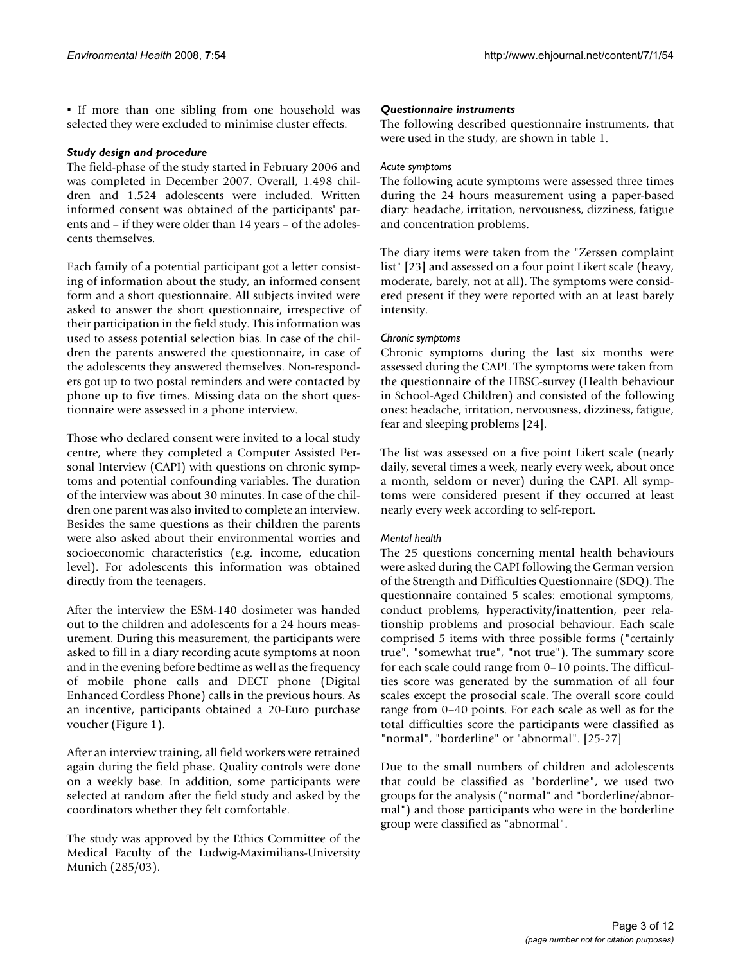▪ If more than one sibling from one household was selected they were excluded to minimise cluster effects.

# *Study design and procedure*

The field-phase of the study started in February 2006 and was completed in December 2007. Overall, 1.498 children and 1.524 adolescents were included. Written informed consent was obtained of the participants' parents and – if they were older than 14 years – of the adolescents themselves.

Each family of a potential participant got a letter consisting of information about the study, an informed consent form and a short questionnaire. All subjects invited were asked to answer the short questionnaire, irrespective of their participation in the field study. This information was used to assess potential selection bias. In case of the children the parents answered the questionnaire, in case of the adolescents they answered themselves. Non-responders got up to two postal reminders and were contacted by phone up to five times. Missing data on the short questionnaire were assessed in a phone interview.

Those who declared consent were invited to a local study centre, where they completed a Computer Assisted Personal Interview (CAPI) with questions on chronic symptoms and potential confounding variables. The duration of the interview was about 30 minutes. In case of the children one parent was also invited to complete an interview. Besides the same questions as their children the parents were also asked about their environmental worries and socioeconomic characteristics (e.g. income, education level). For adolescents this information was obtained directly from the teenagers.

After the interview the ESM-140 dosimeter was handed out to the children and adolescents for a 24 hours measurement. During this measurement, the participants were asked to fill in a diary recording acute symptoms at noon and in the evening before bedtime as well as the frequency of mobile phone calls and DECT phone (Digital Enhanced Cordless Phone) calls in the previous hours. As an incentive, participants obtained a 20-Euro purchase voucher (Figure 1).

After an interview training, all field workers were retrained again during the field phase. Quality controls were done on a weekly base. In addition, some participants were selected at random after the field study and asked by the coordinators whether they felt comfortable.

The study was approved by the Ethics Committee of the Medical Faculty of the Ludwig-Maximilians-University Munich (285/03).

# *Questionnaire instruments*

The following described questionnaire instruments, that were used in the study, are shown in table 1.

# *Acute symptoms*

The following acute symptoms were assessed three times during the 24 hours measurement using a paper-based diary: headache, irritation, nervousness, dizziness, fatigue and concentration problems.

The diary items were taken from the "Zerssen complaint list" [23] and assessed on a four point Likert scale (heavy, moderate, barely, not at all). The symptoms were considered present if they were reported with an at least barely intensity.

# *Chronic symptoms*

Chronic symptoms during the last six months were assessed during the CAPI. The symptoms were taken from the questionnaire of the HBSC-survey (Health behaviour in School-Aged Children) and consisted of the following ones: headache, irritation, nervousness, dizziness, fatigue, fear and sleeping problems [24].

The list was assessed on a five point Likert scale (nearly daily, several times a week, nearly every week, about once a month, seldom or never) during the CAPI. All symptoms were considered present if they occurred at least nearly every week according to self-report.

# *Mental health*

The 25 questions concerning mental health behaviours were asked during the CAPI following the German version of the Strength and Difficulties Questionnaire (SDQ). The questionnaire contained 5 scales: emotional symptoms, conduct problems, hyperactivity/inattention, peer relationship problems and prosocial behaviour. Each scale comprised 5 items with three possible forms ("certainly true", "somewhat true", "not true"). The summary score for each scale could range from 0–10 points. The difficulties score was generated by the summation of all four scales except the prosocial scale. The overall score could range from 0–40 points. For each scale as well as for the total difficulties score the participants were classified as "normal", "borderline" or "abnormal". [25-27]

Due to the small numbers of children and adolescents that could be classified as "borderline", we used two groups for the analysis ("normal" and "borderline/abnormal") and those participants who were in the borderline group were classified as "abnormal".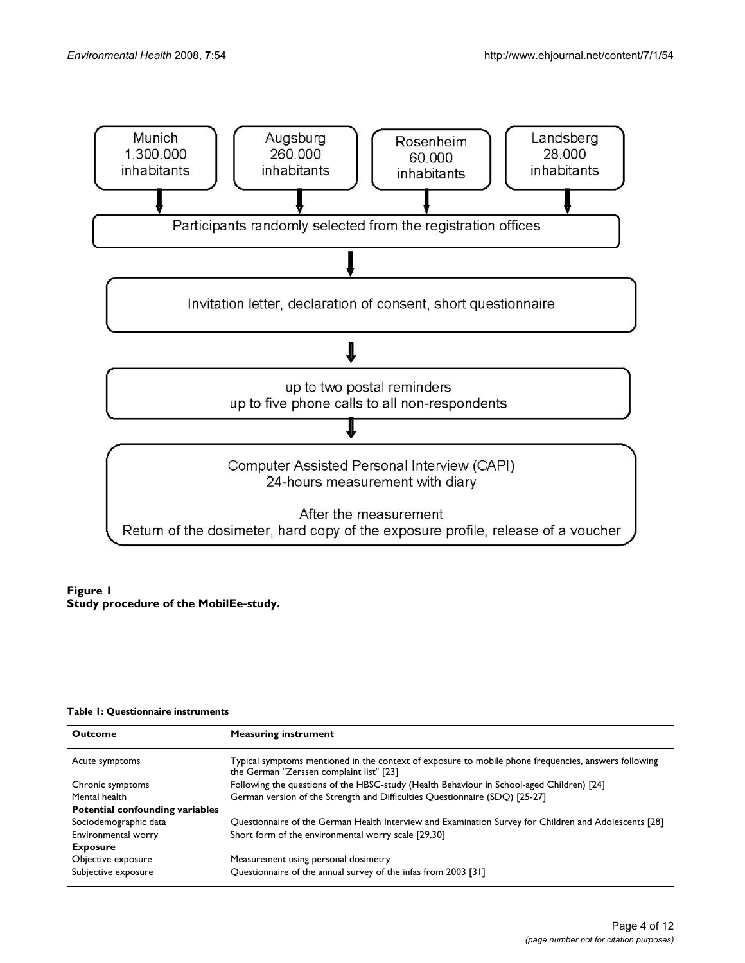

# **Figure 1 Study procedure of the MobilEe-study.**

#### **Table 1: Questionnaire instruments**

| <b>Outcome</b>                  | <b>Measuring instrument</b>                                                                                                                      |
|---------------------------------|--------------------------------------------------------------------------------------------------------------------------------------------------|
| Acute symptoms                  | Typical symptoms mentioned in the context of exposure to mobile phone frequencies, answers following<br>the German "Zerssen complaint list" [23] |
| Chronic symptoms                | Following the questions of the HBSC-study (Health Behaviour in School-aged Children) [24]                                                        |
| Mental health                   | German version of the Strength and Difficulties Questionnaire (SDQ) [25-27]                                                                      |
| Potential confounding variables |                                                                                                                                                  |
| Sociodemographic data           | Questionnaire of the German Health Interview and Examination Survey for Children and Adolescents [28]                                            |
| Environmental worry             | Short form of the environmental worry scale [29,30]                                                                                              |
| <b>Exposure</b>                 |                                                                                                                                                  |
| Objective exposure              | Measurement using personal dosimetry                                                                                                             |
| Subjective exposure             | Questionnaire of the annual survey of the infas from 2003 [31]                                                                                   |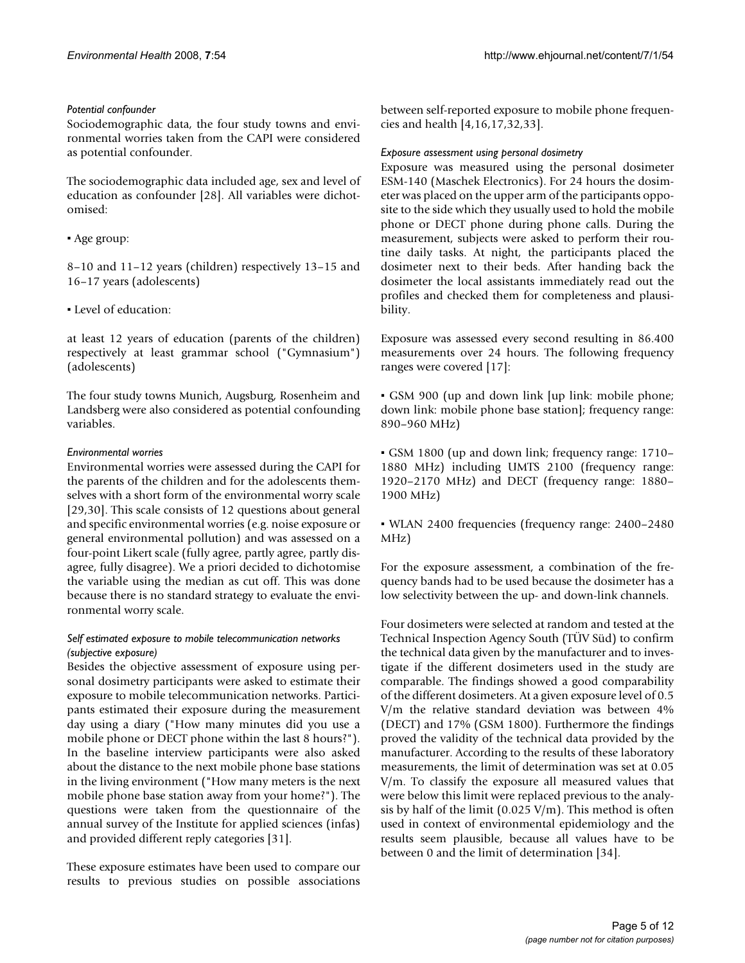# *Potential confounder*

Sociodemographic data, the four study towns and environmental worries taken from the CAPI were considered as potential confounder.

The sociodemographic data included age, sex and level of education as confounder [28]. All variables were dichotomised:

8–10 and 11–12 years (children) respectively 13–15 and 16–17 years (adolescents)

▪ Level of education:

at least 12 years of education (parents of the children) respectively at least grammar school ("Gymnasium") (adolescents)

The four study towns Munich, Augsburg, Rosenheim and Landsberg were also considered as potential confounding variables.

# *Environmental worries*

Environmental worries were assessed during the CAPI for the parents of the children and for the adolescents themselves with a short form of the environmental worry scale [29,30]. This scale consists of 12 questions about general and specific environmental worries (e.g. noise exposure or general environmental pollution) and was assessed on a four-point Likert scale (fully agree, partly agree, partly disagree, fully disagree). We a priori decided to dichotomise the variable using the median as cut off. This was done because there is no standard strategy to evaluate the environmental worry scale.

# *Self estimated exposure to mobile telecommunication networks (subjective exposure)*

Besides the objective assessment of exposure using personal dosimetry participants were asked to estimate their exposure to mobile telecommunication networks. Participants estimated their exposure during the measurement day using a diary ("How many minutes did you use a mobile phone or DECT phone within the last 8 hours?"). In the baseline interview participants were also asked about the distance to the next mobile phone base stations in the living environment ("How many meters is the next mobile phone base station away from your home?"). The questions were taken from the questionnaire of the annual survey of the Institute for applied sciences (infas) and provided different reply categories [31].

These exposure estimates have been used to compare our results to previous studies on possible associations between self-reported exposure to mobile phone frequencies and health [4,16,17,32,33].

# *Exposure assessment using personal dosimetry*

Exposure was measured using the personal dosimeter ESM-140 (Maschek Electronics). For 24 hours the dosimeter was placed on the upper arm of the participants opposite to the side which they usually used to hold the mobile phone or DECT phone during phone calls. During the measurement, subjects were asked to perform their routine daily tasks. At night, the participants placed the dosimeter next to their beds. After handing back the dosimeter the local assistants immediately read out the profiles and checked them for completeness and plausibility.

Exposure was assessed every second resulting in 86.400 measurements over 24 hours. The following frequency ranges were covered [17]:

▪ GSM 900 (up and down link [up link: mobile phone; down link: mobile phone base station]; frequency range: 890–960 MHz)

▪ GSM 1800 (up and down link; frequency range: 1710– 1880 MHz) including UMTS 2100 (frequency range: 1920–2170 MHz) and DECT (frequency range: 1880– 1900 MHz)

▪ WLAN 2400 frequencies (frequency range: 2400–2480 MHz)

For the exposure assessment, a combination of the frequency bands had to be used because the dosimeter has a low selectivity between the up- and down-link channels.

Four dosimeters were selected at random and tested at the Technical Inspection Agency South (TÜV Süd) to confirm the technical data given by the manufacturer and to investigate if the different dosimeters used in the study are comparable. The findings showed a good comparability of the different dosimeters. At a given exposure level of 0.5 V/m the relative standard deviation was between 4% (DECT) and 17% (GSM 1800). Furthermore the findings proved the validity of the technical data provided by the manufacturer. According to the results of these laboratory measurements, the limit of determination was set at 0.05 V/m. To classify the exposure all measured values that were below this limit were replaced previous to the analysis by half of the limit (0.025  $V/m$ ). This method is often used in context of environmental epidemiology and the results seem plausible, because all values have to be between 0 and the limit of determination [34].

<sup>▪</sup> Age group: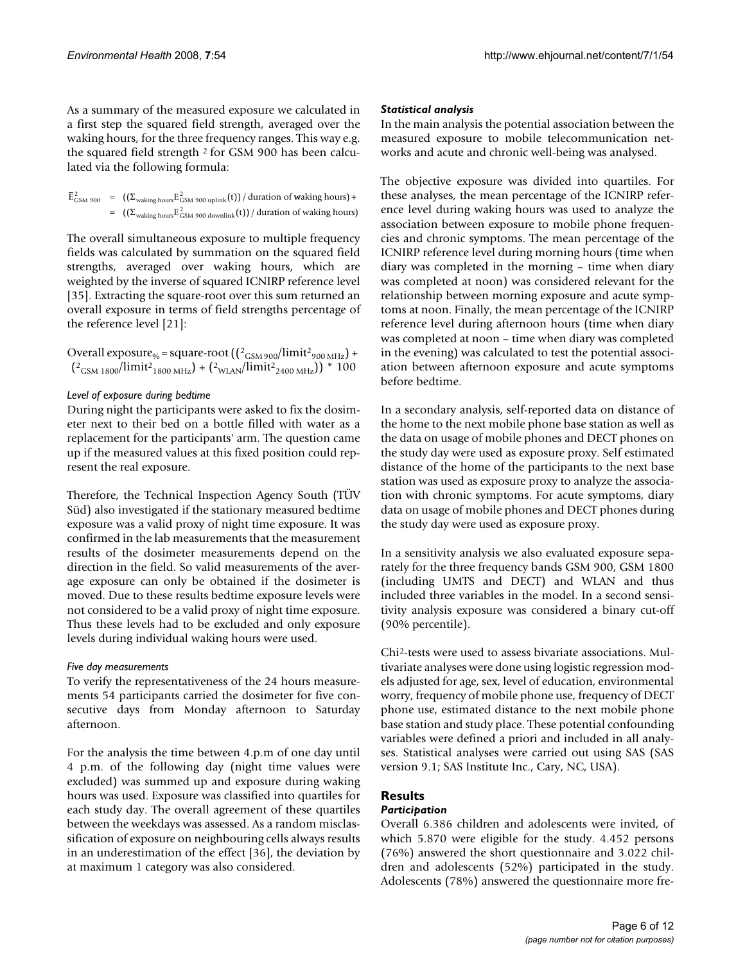As a summary of the measured exposure we calculated in a first step the squared field strength, averaged over the waking hours, for the three frequency ranges. This way e.g. the squared field strength 2 for GSM 900 has been calculated via the following formula:

$$
\begin{array}{lcl}\n\overline{E}_{\text{GSM 900}}^2 & = & \left( \left( \Sigma_{\text{waking hours}} E_{\text{GSM 900 uplink}}^2(t) \right) / \text{ duration of waking hours} \right) + \\
& = & \left( \left( \Sigma_{\text{waking hours}} E_{\text{GSM 900 downlink}}^2(t) \right) / \text{ duration of waking hours} \right)\n\end{array}
$$

The overall simultaneous exposure to multiple frequency fields was calculated by summation on the squared field strengths, averaged over waking hours, which are weighted by the inverse of squared ICNIRP reference level [35]. Extracting the square-root over this sum returned an overall exposure in terms of field strengths percentage of the reference level [21]:

Overall exposure<sub>%</sub> = square-root ((
$$
{}^{2}_{\text{GSM 900}}/ \text{limit}^2_{900 \text{ MHz}})
$$
 + ( ${}^{2}_{\text{GSM 1800}}/ \text{limit}^2_{1800 \text{ MHz}}$ ) + ( ${}^{2}_{\text{WLAN}}/ \text{limit}^2_{2400 \text{ MHz}}$ )) \* 100

# *Level of exposure during bedtime*

During night the participants were asked to fix the dosimeter next to their bed on a bottle filled with water as a replacement for the participants' arm. The question came up if the measured values at this fixed position could represent the real exposure.

Therefore, the Technical Inspection Agency South (TÜV Süd) also investigated if the stationary measured bedtime exposure was a valid proxy of night time exposure. It was confirmed in the lab measurements that the measurement results of the dosimeter measurements depend on the direction in the field. So valid measurements of the average exposure can only be obtained if the dosimeter is moved. Due to these results bedtime exposure levels were not considered to be a valid proxy of night time exposure. Thus these levels had to be excluded and only exposure levels during individual waking hours were used.

#### *Five day measurements*

To verify the representativeness of the 24 hours measurements 54 participants carried the dosimeter for five consecutive days from Monday afternoon to Saturday afternoon.

For the analysis the time between 4.p.m of one day until 4 p.m. of the following day (night time values were excluded) was summed up and exposure during waking hours was used. Exposure was classified into quartiles for each study day. The overall agreement of these quartiles between the weekdays was assessed. As a random misclassification of exposure on neighbouring cells always results in an underestimation of the effect [36], the deviation by at maximum 1 category was also considered.

#### *Statistical analysis*

In the main analysis the potential association between the measured exposure to mobile telecommunication networks and acute and chronic well-being was analysed.

The objective exposure was divided into quartiles. For these analyses, the mean percentage of the ICNIRP reference level during waking hours was used to analyze the association between exposure to mobile phone frequencies and chronic symptoms. The mean percentage of the ICNIRP reference level during morning hours (time when diary was completed in the morning – time when diary was completed at noon) was considered relevant for the relationship between morning exposure and acute symptoms at noon. Finally, the mean percentage of the ICNIRP reference level during afternoon hours (time when diary was completed at noon – time when diary was completed in the evening) was calculated to test the potential association between afternoon exposure and acute symptoms before bedtime.

In a secondary analysis, self-reported data on distance of the home to the next mobile phone base station as well as the data on usage of mobile phones and DECT phones on the study day were used as exposure proxy. Self estimated distance of the home of the participants to the next base station was used as exposure proxy to analyze the association with chronic symptoms. For acute symptoms, diary data on usage of mobile phones and DECT phones during the study day were used as exposure proxy.

In a sensitivity analysis we also evaluated exposure separately for the three frequency bands GSM 900, GSM 1800 (including UMTS and DECT) and WLAN and thus included three variables in the model. In a second sensitivity analysis exposure was considered a binary cut-off (90% percentile).

Chi2-tests were used to assess bivariate associations. Multivariate analyses were done using logistic regression models adjusted for age, sex, level of education, environmental worry, frequency of mobile phone use, frequency of DECT phone use, estimated distance to the next mobile phone base station and study place. These potential confounding variables were defined a priori and included in all analyses. Statistical analyses were carried out using SAS (SAS version 9.1; SAS Institute Inc., Cary, NC, USA).

# **Results**

# *Participation*

Overall 6.386 children and adolescents were invited, of which 5.870 were eligible for the study. 4.452 persons (76%) answered the short questionnaire and 3.022 children and adolescents (52%) participated in the study. Adolescents (78%) answered the questionnaire more fre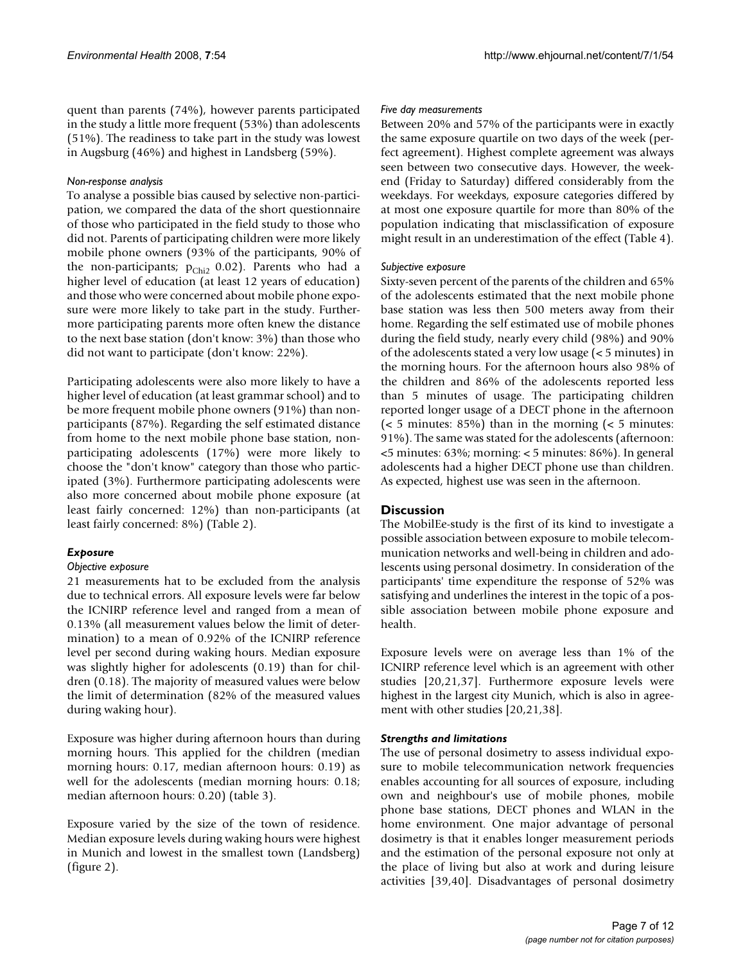quent than parents (74%), however parents participated in the study a little more frequent (53%) than adolescents (51%). The readiness to take part in the study was lowest in Augsburg (46%) and highest in Landsberg (59%).

#### *Non-response analysis*

To analyse a possible bias caused by selective non-participation, we compared the data of the short questionnaire of those who participated in the field study to those who did not. Parents of participating children were more likely mobile phone owners (93% of the participants, 90% of the non-participants;  $p_{Chi}$  0.02). Parents who had a higher level of education (at least 12 years of education) and those who were concerned about mobile phone exposure were more likely to take part in the study. Furthermore participating parents more often knew the distance to the next base station (don't know: 3%) than those who did not want to participate (don't know: 22%).

Participating adolescents were also more likely to have a higher level of education (at least grammar school) and to be more frequent mobile phone owners (91%) than nonparticipants (87%). Regarding the self estimated distance from home to the next mobile phone base station, nonparticipating adolescents (17%) were more likely to choose the "don't know" category than those who participated (3%). Furthermore participating adolescents were also more concerned about mobile phone exposure (at least fairly concerned: 12%) than non-participants (at least fairly concerned: 8%) (Table 2).

# *Exposure*

#### *Objective exposure*

21 measurements hat to be excluded from the analysis due to technical errors. All exposure levels were far below the ICNIRP reference level and ranged from a mean of 0.13% (all measurement values below the limit of determination) to a mean of 0.92% of the ICNIRP reference level per second during waking hours. Median exposure was slightly higher for adolescents (0.19) than for children (0.18). The majority of measured values were below the limit of determination (82% of the measured values during waking hour).

Exposure was higher during afternoon hours than during morning hours. This applied for the children (median morning hours: 0.17, median afternoon hours: 0.19) as well for the adolescents (median morning hours: 0.18; median afternoon hours: 0.20) (table 3).

Exposure varied by the size of the town of residence. Median exposure levels during waking hours were highest in Munich and lowest in the smallest town (Landsberg) (figure 2).

#### *Five day measurements*

Between 20% and 57% of the participants were in exactly the same exposure quartile on two days of the week (perfect agreement). Highest complete agreement was always seen between two consecutive days. However, the weekend (Friday to Saturday) differed considerably from the weekdays. For weekdays, exposure categories differed by at most one exposure quartile for more than 80% of the population indicating that misclassification of exposure might result in an underestimation of the effect (Table 4).

#### *Subjective exposure*

Sixty-seven percent of the parents of the children and 65% of the adolescents estimated that the next mobile phone base station was less then 500 meters away from their home. Regarding the self estimated use of mobile phones during the field study, nearly every child (98%) and 90% of the adolescents stated a very low usage (< 5 minutes) in the morning hours. For the afternoon hours also 98% of the children and 86% of the adolescents reported less than 5 minutes of usage. The participating children reported longer usage of a DECT phone in the afternoon  $\approx$  5 minutes: 85%) than in the morning  $\approx$  5 minutes: 91%). The same was stated for the adolescents (afternoon: <5 minutes: 63%; morning: < 5 minutes: 86%). In general adolescents had a higher DECT phone use than children. As expected, highest use was seen in the afternoon.

# **Discussion**

The MobilEe-study is the first of its kind to investigate a possible association between exposure to mobile telecommunication networks and well-being in children and adolescents using personal dosimetry. In consideration of the participants' time expenditure the response of 52% was satisfying and underlines the interest in the topic of a possible association between mobile phone exposure and health.

Exposure levels were on average less than 1% of the ICNIRP reference level which is an agreement with other studies [20,21,37]. Furthermore exposure levels were highest in the largest city Munich, which is also in agreement with other studies [20,21,38].

#### *Strengths and limitations*

The use of personal dosimetry to assess individual exposure to mobile telecommunication network frequencies enables accounting for all sources of exposure, including own and neighbour's use of mobile phones, mobile phone base stations, DECT phones and WLAN in the home environment. One major advantage of personal dosimetry is that it enables longer measurement periods and the estimation of the personal exposure not only at the place of living but also at work and during leisure activities [39,40]. Disadvantages of personal dosimetry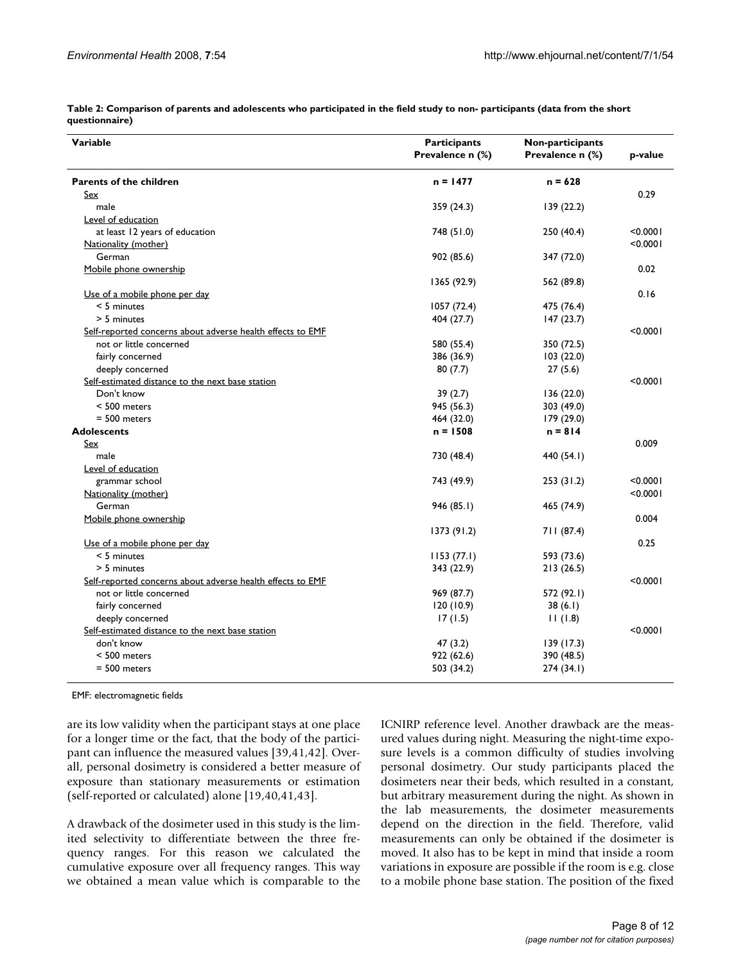**Table 2: Comparison of parents and adolescents who participated in the field study to non- participants (data from the short questionnaire)**

| Variable                                                   | <b>Participants</b><br>Prevalence n (%) | Non-participants<br>Prevalence n (%) | p-value              |
|------------------------------------------------------------|-----------------------------------------|--------------------------------------|----------------------|
| <b>Parents of the children</b>                             | $n = 1477$                              | $n = 628$                            |                      |
|                                                            |                                         |                                      | 0.29                 |
| Sex<br>male                                                |                                         |                                      |                      |
|                                                            | 359 (24.3)                              | 139 (22.2)                           |                      |
| Level of education                                         |                                         |                                      |                      |
| at least 12 years of education                             | 748 (51.0)                              | 250 (40.4)                           | < 0.0001<br>< 0.0001 |
| Nationality (mother)<br>German                             |                                         |                                      |                      |
|                                                            | 902 (85.6)                              | 347 (72.0)                           |                      |
| Mobile phone ownership                                     |                                         |                                      | 0.02                 |
|                                                            | 1365 (92.9)                             | 562 (89.8)                           |                      |
| Use of a mobile phone per day                              |                                         |                                      | 0.16                 |
| $< 5$ minutes                                              | 1057 (72.4)                             | 475 (76.4)                           |                      |
| > 5 minutes                                                | 404 (27.7)                              | 147(23.7)                            |                      |
| Self-reported concerns about adverse health effects to EMF |                                         |                                      | < 0.0001             |
| not or little concerned                                    | 580 (55.4)                              | 350 (72.5)                           |                      |
| fairly concerned                                           | 386 (36.9)                              | 103(22.0)                            |                      |
| deeply concerned                                           | 80(7.7)                                 | 27(5.6)                              |                      |
| Self-estimated distance to the next base station           |                                         |                                      | < 0.0001             |
| Don't know                                                 | 39(2.7)                                 | 136 (22.0)                           |                      |
| $< 500$ meters                                             | 945 (56.3)                              | 303 (49.0)                           |                      |
| $= 500$ meters                                             | 464 (32.0)                              | 179(29.0)                            |                      |
| <b>Adolescents</b>                                         | $n = 1508$                              | $n = 814$                            |                      |
| Sex                                                        |                                         |                                      | 0.009                |
| male                                                       | 730 (48.4)                              | 440 (54.1)                           |                      |
| Level of education                                         |                                         |                                      |                      |
| grammar school                                             | 743 (49.9)                              | 253(31.2)                            | < 0.0001             |
| Nationality (mother)                                       |                                         |                                      | < 0.0001             |
| German                                                     | 946 (85.1)                              | 465 (74.9)                           |                      |
| Mobile phone ownership                                     |                                         |                                      | 0.004                |
|                                                            | 1373 (91.2)                             | 711 (87.4)                           |                      |
| Use of a mobile phone per day                              |                                         |                                      | 0.25                 |
| $< 5$ minutes                                              | 1153(77.1)                              | 593 (73.6)                           |                      |
| > 5 minutes                                                | 343 (22.9)                              | 213 (26.5)                           |                      |
| Self-reported concerns about adverse health effects to EMF |                                         |                                      | < 0.0001             |
| not or little concerned                                    | 969 (87.7)                              | 572 (92.1)                           |                      |
| fairly concerned                                           | 120(10.9)                               | 38(6.1)                              |                      |
| deeply concerned                                           | 17(1.5)                                 | 11(1.8)                              |                      |
| Self-estimated distance to the next base station           |                                         |                                      | < 0.0001             |
| don't know                                                 | 47(3.2)                                 | 139 (17.3)                           |                      |
| $< 500$ meters                                             | 922 (62.6)                              | 390 (48.5)                           |                      |
| $= 500$ meters                                             | 503 (34.2)                              | 274 (34.1)                           |                      |
|                                                            |                                         |                                      |                      |

EMF: electromagnetic fields

are its low validity when the participant stays at one place for a longer time or the fact, that the body of the participant can influence the measured values [39,41,42]. Overall, personal dosimetry is considered a better measure of exposure than stationary measurements or estimation (self-reported or calculated) alone [19,40,41,43].

A drawback of the dosimeter used in this study is the limited selectivity to differentiate between the three frequency ranges. For this reason we calculated the cumulative exposure over all frequency ranges. This way we obtained a mean value which is comparable to the ICNIRP reference level. Another drawback are the measured values during night. Measuring the night-time exposure levels is a common difficulty of studies involving personal dosimetry. Our study participants placed the dosimeters near their beds, which resulted in a constant, but arbitrary measurement during the night. As shown in the lab measurements, the dosimeter measurements depend on the direction in the field. Therefore, valid measurements can only be obtained if the dosimeter is moved. It also has to be kept in mind that inside a room variations in exposure are possible if the room is e.g. close to a mobile phone base station. The position of the fixed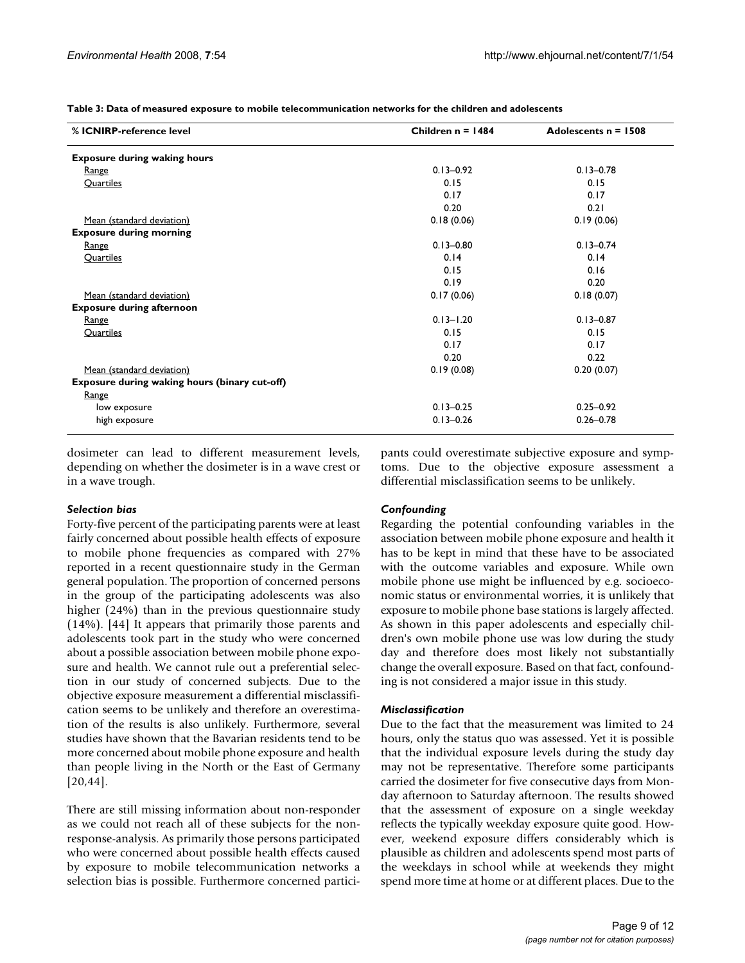**Table 3: Data of measured exposure to mobile telecommunication networks for the children and adolescents**

| % ICNIRP-reference level                      | Children $n = 1484$ | Adolescents n = 1508 |  |
|-----------------------------------------------|---------------------|----------------------|--|
| <b>Exposure during waking hours</b>           |                     |                      |  |
| <u>Range</u>                                  | $0.13 - 0.92$       | $0.13 - 0.78$        |  |
| <b>Quartiles</b>                              | 0.15                | 0.15                 |  |
|                                               | 0.17                | 0.17                 |  |
|                                               | 0.20                | 0.21                 |  |
| Mean (standard deviation)                     | 0.18(0.06)          | 0.19(0.06)           |  |
| <b>Exposure during morning</b>                |                     |                      |  |
| <u>Range</u>                                  | $0.13 - 0.80$       | $0.13 - 0.74$        |  |
| Quartiles                                     | 0.14                | 0.14                 |  |
|                                               | 0.15                | 0.16                 |  |
|                                               | 0.19                | 0.20                 |  |
| Mean (standard deviation)                     | 0.17(0.06)          | 0.18(0.07)           |  |
| <b>Exposure during afternoon</b>              |                     |                      |  |
| <u>Range</u>                                  | $0.13 - 1.20$       | $0.13 - 0.87$        |  |
| Quartiles                                     | 0.15                | 0.15                 |  |
|                                               | 0.17                | 0.17                 |  |
|                                               | 0.20                | 0.22                 |  |
| Mean (standard deviation)                     | 0.19(0.08)          | 0.20(0.07)           |  |
| Exposure during waking hours (binary cut-off) |                     |                      |  |
| Range                                         |                     |                      |  |
| low exposure                                  | $0.13 - 0.25$       | $0.25 - 0.92$        |  |
| high exposure                                 | $0.13 - 0.26$       | $0.26 - 0.78$        |  |

dosimeter can lead to different measurement levels, depending on whether the dosimeter is in a wave crest or in a wave trough.

#### *Selection bias*

Forty-five percent of the participating parents were at least fairly concerned about possible health effects of exposure to mobile phone frequencies as compared with 27% reported in a recent questionnaire study in the German general population. The proportion of concerned persons in the group of the participating adolescents was also higher (24%) than in the previous questionnaire study (14%). [44] It appears that primarily those parents and adolescents took part in the study who were concerned about a possible association between mobile phone exposure and health. We cannot rule out a preferential selection in our study of concerned subjects. Due to the objective exposure measurement a differential misclassification seems to be unlikely and therefore an overestimation of the results is also unlikely. Furthermore, several studies have shown that the Bavarian residents tend to be more concerned about mobile phone exposure and health than people living in the North or the East of Germany [20,44].

There are still missing information about non-responder as we could not reach all of these subjects for the nonresponse-analysis. As primarily those persons participated who were concerned about possible health effects caused by exposure to mobile telecommunication networks a selection bias is possible. Furthermore concerned participants could overestimate subjective exposure and symptoms. Due to the objective exposure assessment a differential misclassification seems to be unlikely.

#### *Confounding*

Regarding the potential confounding variables in the association between mobile phone exposure and health it has to be kept in mind that these have to be associated with the outcome variables and exposure. While own mobile phone use might be influenced by e.g. socioeconomic status or environmental worries, it is unlikely that exposure to mobile phone base stations is largely affected. As shown in this paper adolescents and especially children's own mobile phone use was low during the study day and therefore does most likely not substantially change the overall exposure. Based on that fact, confounding is not considered a major issue in this study.

#### *Misclassification*

Due to the fact that the measurement was limited to 24 hours, only the status quo was assessed. Yet it is possible that the individual exposure levels during the study day may not be representative. Therefore some participants carried the dosimeter for five consecutive days from Monday afternoon to Saturday afternoon. The results showed that the assessment of exposure on a single weekday reflects the typically weekday exposure quite good. However, weekend exposure differs considerably which is plausible as children and adolescents spend most parts of the weekdays in school while at weekends they might spend more time at home or at different places. Due to the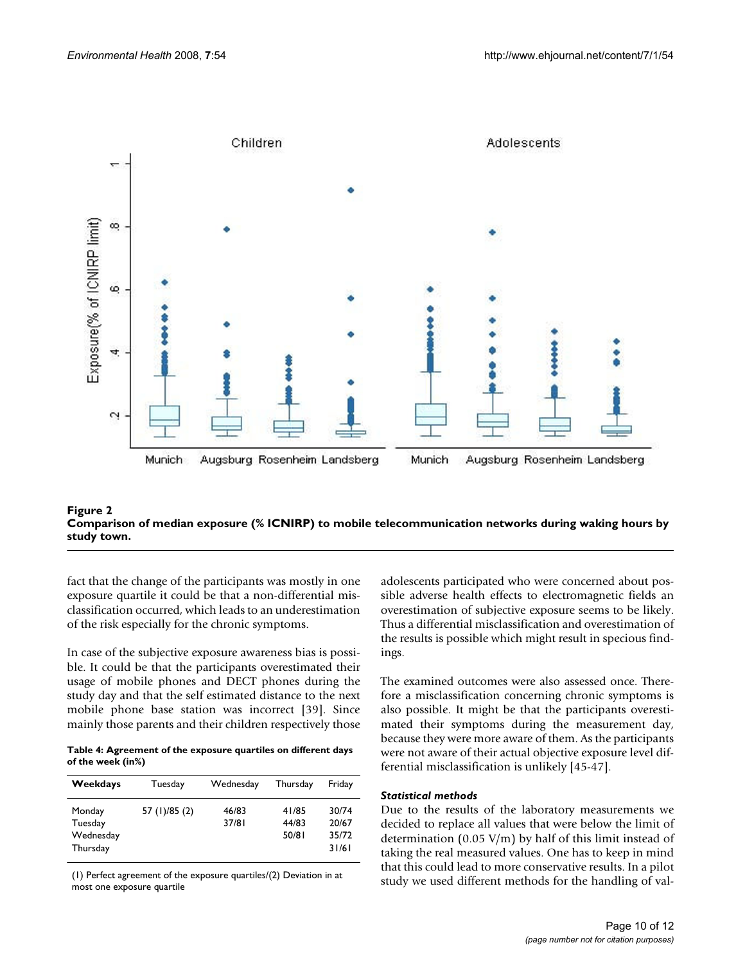

#### Comparison of median exposure **Figure 2** (% ICNIRP) to mobile telecommunication networks during waking hours by study town **Comparison of median exposure (% ICNIRP) to mobile telecommunication networks during waking hours by study town.**

fact that the change of the participants was mostly in one exposure quartile it could be that a non-differential misclassification occurred, which leads to an underestimation of the risk especially for the chronic symptoms.

In case of the subjective exposure awareness bias is possible. It could be that the participants overestimated their usage of mobile phones and DECT phones during the study day and that the self estimated distance to the next mobile phone base station was incorrect [39]. Since mainly those parents and their children respectively those

**Table 4: Agreement of the exposure quartiles on different days of the week (in%)**

| Weekdays                                   | Tuesday       | Wednesday      | Thursday                | Friday                           |
|--------------------------------------------|---------------|----------------|-------------------------|----------------------------------|
| Monday<br>Tuesday<br>Wednesday<br>Thursday | 57 (1)/85 (2) | 46/83<br>37/81 | 41/85<br>44/83<br>50/81 | 30/74<br>20/67<br>35/72<br>31/61 |

(1) Perfect agreement of the exposure quartiles/(2) Deviation in at most one exposure quartile

adolescents participated who were concerned about possible adverse health effects to electromagnetic fields an overestimation of subjective exposure seems to be likely. Thus a differential misclassification and overestimation of the results is possible which might result in specious findings.

The examined outcomes were also assessed once. Therefore a misclassification concerning chronic symptoms is also possible. It might be that the participants overestimated their symptoms during the measurement day, because they were more aware of them. As the participants were not aware of their actual objective exposure level differential misclassification is unlikely [45-47].

#### *Statistical methods*

Due to the results of the laboratory measurements we decided to replace all values that were below the limit of determination (0.05 V/m) by half of this limit instead of taking the real measured values. One has to keep in mind that this could lead to more conservative results. In a pilot study we used different methods for the handling of val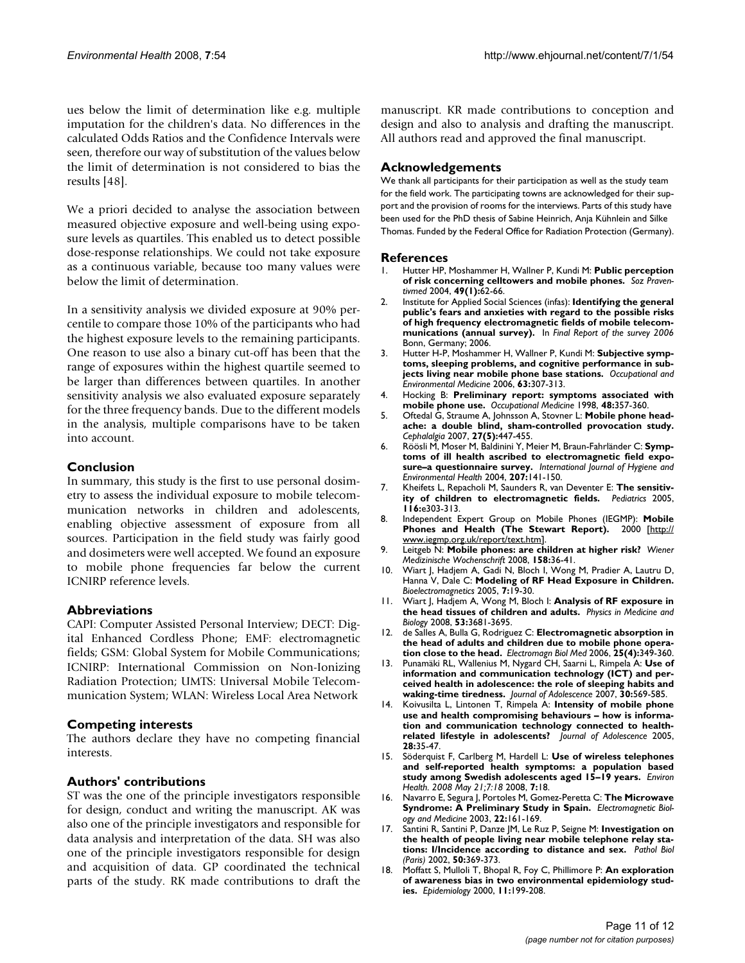ues below the limit of determination like e.g. multiple imputation for the children's data. No differences in the calculated Odds Ratios and the Confidence Intervals were seen, therefore our way of substitution of the values below the limit of determination is not considered to bias the results [48].

We a priori decided to analyse the association between measured objective exposure and well-being using exposure levels as quartiles. This enabled us to detect possible dose-response relationships. We could not take exposure as a continuous variable, because too many values were below the limit of determination.

In a sensitivity analysis we divided exposure at 90% percentile to compare those 10% of the participants who had the highest exposure levels to the remaining participants. One reason to use also a binary cut-off has been that the range of exposures within the highest quartile seemed to be larger than differences between quartiles. In another sensitivity analysis we also evaluated exposure separately for the three frequency bands. Due to the different models in the analysis, multiple comparisons have to be taken into account.

# **Conclusion**

In summary, this study is the first to use personal dosimetry to assess the individual exposure to mobile telecommunication networks in children and adolescents, enabling objective assessment of exposure from all sources. Participation in the field study was fairly good and dosimeters were well accepted. We found an exposure to mobile phone frequencies far below the current ICNIRP reference levels.

# **Abbreviations**

CAPI: Computer Assisted Personal Interview; DECT: Digital Enhanced Cordless Phone; EMF: electromagnetic fields; GSM: Global System for Mobile Communications; ICNIRP: International Commission on Non-Ionizing Radiation Protection; UMTS: Universal Mobile Telecommunication System; WLAN: Wireless Local Area Network

#### **Competing interests**

The authors declare they have no competing financial interests.

#### **Authors' contributions**

ST was the one of the principle investigators responsible for design, conduct and writing the manuscript. AK was also one of the principle investigators and responsible for data analysis and interpretation of the data. SH was also one of the principle investigators responsible for design and acquisition of data. GP coordinated the technical parts of the study. RK made contributions to draft the manuscript. KR made contributions to conception and design and also to analysis and drafting the manuscript. All authors read and approved the final manuscript.

# **Acknowledgements**

We thank all participants for their participation as well as the study team for the field work. The participating towns are acknowledged for their support and the provision of rooms for the interviews. Parts of this study have been used for the PhD thesis of Sabine Heinrich, Anja Kühnlein and Silke Thomas. Funded by the Federal Office for Radiation Protection (Germany).

#### **References**

- 1. Hutter HP, Moshammer H, Wallner P, Kundi M: **[Public perception](http://www.ncbi.nlm.nih.gov/entrez/query.fcgi?cmd=Retrieve&db=PubMed&dopt=Abstract&list_uids=15040130) [of risk concerning celltowers and mobile phones.](http://www.ncbi.nlm.nih.gov/entrez/query.fcgi?cmd=Retrieve&db=PubMed&dopt=Abstract&list_uids=15040130)** *Soz Praventivmed* 2004, **49(1):**62-66.
- 2. Institute for Applied Social Sciences (infas): **Identifying the general public's fears and anxieties with regard to the possible risks of high frequency electromagnetic fields of mobile telecommunications (annual survey).** In *Final Report of the survey 2006* Bonn, Germany; 2006.
- 3. Hutter H-P, Moshammer H, Wallner P, Kundi M: **Subjective symptoms, sleeping problems, and cognitive performance in subjects living near mobile phone base stations.** *Occupational and Environmental Medicine* 2006, **63:**307-313.
- 4. Hocking B: **[Preliminary report: symptoms associated with](http://www.ncbi.nlm.nih.gov/entrez/query.fcgi?cmd=Retrieve&db=PubMed&dopt=Abstract&list_uids=10024730) [mobile phone use.](http://www.ncbi.nlm.nih.gov/entrez/query.fcgi?cmd=Retrieve&db=PubMed&dopt=Abstract&list_uids=10024730)** *Occupational Medicine* 1998, **48:**357-360.
- 5. Oftedal G, Straume A, Johnsson A, Stovner L: **[Mobile phone head](http://www.ncbi.nlm.nih.gov/entrez/query.fcgi?cmd=Retrieve&db=PubMed&dopt=Abstract&list_uids=17359515)[ache: a double blind, sham-controlled provocation study.](http://www.ncbi.nlm.nih.gov/entrez/query.fcgi?cmd=Retrieve&db=PubMed&dopt=Abstract&list_uids=17359515)** *Cephalalgia* 2007, **27(5):**447-455.
- 6. Röösli M, Moser M, Baldinini Y, Meier M, Braun-Fahrländer C: **Symptoms of ill health ascribed to electromagnetic field exposure–a questionnaire survey.** *International Journal of Hygiene and Environmental Health* 2004, **207:**141-150.
- 7. Kheifets L, Repacholi M, Saunders R, van Deventer E: **[The sensitiv](http://www.ncbi.nlm.nih.gov/entrez/query.fcgi?cmd=Retrieve&db=PubMed&dopt=Abstract&list_uids=16061584)[ity of children to electromagnetic fields.](http://www.ncbi.nlm.nih.gov/entrez/query.fcgi?cmd=Retrieve&db=PubMed&dopt=Abstract&list_uids=16061584)** *Pediatrics* 2005, **116:**e303-313.
- 8. Independent Expert Group on Mobile Phones (IEGMP): **Mobile Phones and Health (The Stewart Report).** 2000 [\[http://](http://www.iegmp.org.uk/report/text.htm) [www.iegmp.org.uk/report/text.htm](http://www.iegmp.org.uk/report/text.htm)].
- 9. Leitgeb N: **[Mobile phones: are children at higher risk?](http://www.ncbi.nlm.nih.gov/entrez/query.fcgi?cmd=Retrieve&db=PubMed&dopt=Abstract&list_uids=18286248)** *Wiener Medizinische Wochenschrift* 2008, **158:**36-41.
- 10. Wiart J, Hadjem A, Gadi N, Bloch I, Wong M, Pradier A, Lautru D, Hanna V, Dale C: **Modeling of RF Head Exposure in Children.** *Bioelectromagnetics* 2005, **7:**19-30.
- 11. Wiart J, Hadjem A, Wong M, Bloch I: **Analysis of RF exposure in the head tissues of children and adults.** *Physics in Medicine and Biology* 2008, **53:**3681-3695.
- 12. de Salles A, Bulla G, Rodriguez C: **[Electromagnetic absorption in](http://www.ncbi.nlm.nih.gov/entrez/query.fcgi?cmd=Retrieve&db=PubMed&dopt=Abstract&list_uids=17178592) [the head of adults and children due to mobile phone opera](http://www.ncbi.nlm.nih.gov/entrez/query.fcgi?cmd=Retrieve&db=PubMed&dopt=Abstract&list_uids=17178592)[tion close to the head.](http://www.ncbi.nlm.nih.gov/entrez/query.fcgi?cmd=Retrieve&db=PubMed&dopt=Abstract&list_uids=17178592)** *Electromagn Biol Med* 2006, **25(4):**349-360.
- 13. Punamäki RL, Wallenius M, Nygard CH, Saarni L, Rimpela A: **[Use of](http://www.ncbi.nlm.nih.gov/entrez/query.fcgi?cmd=Retrieve&db=PubMed&dopt=Abstract&list_uids=16979753) [information and communication technology \(ICT\) and per](http://www.ncbi.nlm.nih.gov/entrez/query.fcgi?cmd=Retrieve&db=PubMed&dopt=Abstract&list_uids=16979753)ceived health in adolescence: the role of sleeping habits and [waking-time tiredness.](http://www.ncbi.nlm.nih.gov/entrez/query.fcgi?cmd=Retrieve&db=PubMed&dopt=Abstract&list_uids=16979753)** *Journal of Adolescence* 2007, **30:**569-585.
- 14. Koivusilta L, Lintonen T, Rimpela A: **[Intensity of mobile phone](http://www.ncbi.nlm.nih.gov/entrez/query.fcgi?cmd=Retrieve&db=PubMed&dopt=Abstract&list_uids=15683633) [use and health compromising behaviours – how is informa](http://www.ncbi.nlm.nih.gov/entrez/query.fcgi?cmd=Retrieve&db=PubMed&dopt=Abstract&list_uids=15683633)tion and communication technology connected to health[related lifestyle in adolescents?](http://www.ncbi.nlm.nih.gov/entrez/query.fcgi?cmd=Retrieve&db=PubMed&dopt=Abstract&list_uids=15683633)** *Journal of Adolescence* 2005, **28:**35-47.
- 15. Söderquist F, Carlberg M, Hardell L: **Use of wireless telephones and self-reported health symptoms: a population based study among Swedish adolescents aged 15–19 years.** *Environ Health. 2008 May 21;7:18* 2008, **7:**18.
- 16. Navarro E, Segura J, Portoles M, Gomez-Peretta C: **The Microwave Syndrome: A Preliminary Study in Spain.** *Electromagnetic Biology and Medicine* 2003, **22:**161-169.
- 17. Santini R, Santini P, Danze JM, Le Ruz P, Seigne M: **[Investigation on](http://www.ncbi.nlm.nih.gov/entrez/query.fcgi?cmd=Retrieve&db=PubMed&dopt=Abstract&list_uids=12168254) [the health of people living near mobile telephone relay sta](http://www.ncbi.nlm.nih.gov/entrez/query.fcgi?cmd=Retrieve&db=PubMed&dopt=Abstract&list_uids=12168254)[tions: I/Incidence according to distance and sex.](http://www.ncbi.nlm.nih.gov/entrez/query.fcgi?cmd=Retrieve&db=PubMed&dopt=Abstract&list_uids=12168254)** *Pathol Biol (Paris)* 2002, **50:**369-373.
- 18. Moffatt S, Mulloli T, Bhopal R, Foy C, Phillimore P: **[An exploration](http://www.ncbi.nlm.nih.gov/entrez/query.fcgi?cmd=Retrieve&db=PubMed&dopt=Abstract&list_uids=11021620) [of awareness bias in two environmental epidemiology stud](http://www.ncbi.nlm.nih.gov/entrez/query.fcgi?cmd=Retrieve&db=PubMed&dopt=Abstract&list_uids=11021620)[ies.](http://www.ncbi.nlm.nih.gov/entrez/query.fcgi?cmd=Retrieve&db=PubMed&dopt=Abstract&list_uids=11021620)** *Epidemiology* 2000, **11:**199-208.